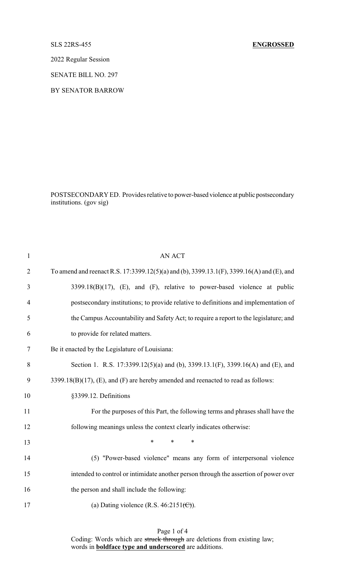# SLS 22RS-455 **ENGROSSED**

2022 Regular Session

SENATE BILL NO. 297

BY SENATOR BARROW

POSTSECONDARY ED. Provides relative to power-based violence at public postsecondary institutions. (gov sig)

| $\mathbf{1}$   | <b>AN ACT</b>                                                                             |
|----------------|-------------------------------------------------------------------------------------------|
| $\overline{2}$ | To amend and reenact R.S. 17:3399.12(5)(a) and (b), 3399.13.1(F), 3399.16(A) and (E), and |
| 3              | $3399.18(B)(17)$ , (E), and (F), relative to power-based violence at public               |
| $\overline{4}$ | postsecondary institutions; to provide relative to definitions and implementation of      |
| 5              | the Campus Accountability and Safety Act; to require a report to the legislature; and     |
| 6              | to provide for related matters.                                                           |
| $\tau$         | Be it enacted by the Legislature of Louisiana:                                            |
| 8              | Section 1. R.S. 17:3399.12(5)(a) and (b), 3399.13.1(F), 3399.16(A) and (E), and           |
| 9              | 3399.18(B)(17), (E), and (F) are hereby amended and reenacted to read as follows:         |
| 10             | §3399.12. Definitions                                                                     |
| 11             | For the purposes of this Part, the following terms and phrases shall have the             |
| 12             | following meanings unless the context clearly indicates otherwise:                        |
| 13             | $\ast$<br>$\ast$<br>∗                                                                     |
| 14             | (5) "Power-based violence" means any form of interpersonal violence                       |
| 15             | intended to control or intimidate another person through the assertion of power over      |
| 16             | the person and shall include the following:                                               |
| 17             | (a) Dating violence (R.S. $46:2151\text{ (C)}$ ).                                         |
|                |                                                                                           |

Page 1 of 4

Coding: Words which are struck through are deletions from existing law; words in **boldface type and underscored** are additions.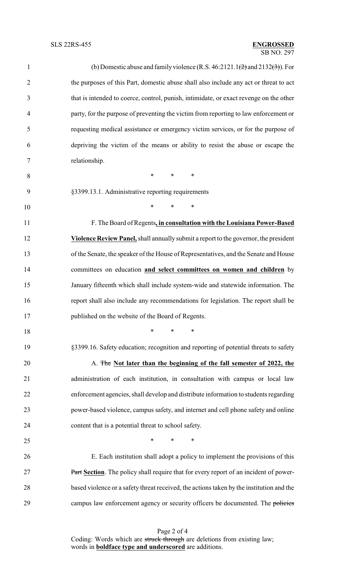## SB NO. 297 SLS 22RS-455 **ENGROSSED**

| $\mathbf{1}$   | (b) Domestic abuse and family violence (R.S. 46:2121.1( $\rightarrow$ ) and 2132( $\rightarrow$ )). For |
|----------------|---------------------------------------------------------------------------------------------------------|
| $\overline{2}$ | the purposes of this Part, domestic abuse shall also include any act or threat to act                   |
| 3              | that is intended to coerce, control, punish, intimidate, or exact revenge on the other                  |
| $\overline{4}$ | party, for the purpose of preventing the victim from reporting to law enforcement or                    |
| 5              | requesting medical assistance or emergency victim services, or for the purpose of                       |
| 6              | depriving the victim of the means or ability to resist the abuse or escape the                          |
| $\tau$         | relationship.                                                                                           |
| 8              | $\ast$<br>$\ast$<br>$\ast$                                                                              |
| 9              | §3399.13.1. Administrative reporting requirements                                                       |
| 10             | $\ast$<br>$\ast$<br>$\ast$                                                                              |
| 11             | F. The Board of Regents, in consultation with the Louisiana Power-Based                                 |
| 12             | Violence Review Panel, shall annually submit a report to the governor, the president                    |
| 13             | of the Senate, the speaker of the House of Representatives, and the Senate and House                    |
| 14             | committees on education and select committees on women and children by                                  |
| 15             | January fifteenth which shall include system-wide and statewide information. The                        |
| 16             | report shall also include any recommendations for legislation. The report shall be                      |
| 17             | published on the website of the Board of Regents.                                                       |
| 18             | $\ast$<br>*<br>$\ast$                                                                                   |
| 19             | §3399.16. Safety education; recognition and reporting of potential threats to safety                    |
| 20             | A. The Not later than the beginning of the fall semester of 2022, the                                   |
| 21             | administration of each institution, in consultation with campus or local law                            |
| 22             | enforcement agencies, shall develop and distribute information to students regarding                    |
| 23             | power-based violence, campus safety, and internet and cell phone safety and online                      |
| 24             | content that is a potential threat to school safety.                                                    |
| 25             | $\ast$<br>∗<br>∗                                                                                        |
| 26             | E. Each institution shall adopt a policy to implement the provisions of this                            |
| $27\,$         | Part Section. The policy shall require that for every report of an incident of power-                   |
| 28             | based violence or a safety threat received, the actions taken by the institution and the                |
| 29             | campus law enforcement agency or security officers be documented. The policies                          |

Page 2 of 4 Coding: Words which are struck through are deletions from existing law; words in **boldface type and underscored** are additions.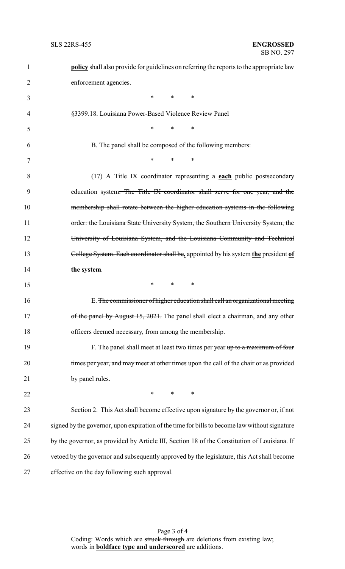| $\mathbf{1}$   | <b>policy</b> shall also provide for guidelines on referring the reports to the appropriate law |
|----------------|-------------------------------------------------------------------------------------------------|
| $\overline{2}$ | enforcement agencies.                                                                           |
| 3              | $*$ $*$<br>*<br>∗                                                                               |
| 4              | §3399.18. Louisiana Power-Based Violence Review Panel                                           |
| 5              | $*$ *<br>∗                                                                                      |
| 6              | B. The panel shall be composed of the following members:                                        |
| 7              | $\ast$<br>$*$ and $*$<br>∗                                                                      |
| 8              | (17) A Title IX coordinator representing $a$ each public postsecondary                          |
| 9              | education system. The Title IX coordinator shall serve for one year, and the                    |
| 10             | membership shall rotate between the higher education systems in the following                   |
| 11             | order: the Louisiana State University System, the Southern University System, the               |
| 12             | University of Louisiana System, and the Louisiana Community and Technical                       |
| 13             | College System. Each coordinator shall be, appointed by his system the president of             |
| 14             | the system.                                                                                     |
| 15             | $*$ *<br>$\ast$                                                                                 |
| 16             | E. The commissioner of higher education shall call an organizational meeting                    |
| 17             | of the panel by August 15, 2021. The panel shall elect a chairman, and any other                |
| 18             | officers deemed necessary, from among the membership.                                           |
| 19             | F. The panel shall meet at least two times per year up to a maximum of four                     |
| 20             | times per year, and may meet at other times upon the call of the chair or as provided           |
| 21             | by panel rules.                                                                                 |
| 22             | $*$<br>∗<br>∗                                                                                   |
| 23             | Section 2. This Act shall become effective upon signature by the governor or, if not            |
| 24             | signed by the governor, upon expiration of the time for bills to become law without signature   |
| 25             | by the governor, as provided by Article III, Section 18 of the Constitution of Louisiana. If    |
| 26             | vetoed by the governor and subsequently approved by the legislature, this Act shall become      |
| 27             | effective on the day following such approval.                                                   |